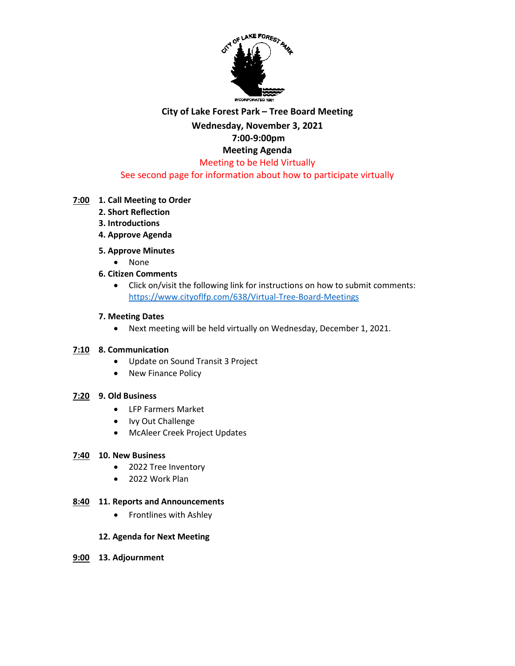

## **City of Lake Forest Park – Tree Board Meeting Wednesday, November 3, 2021 7:00-9:00pm Meeting Agenda** Meeting to be Held Virtually

### See second page for information about how to participate virtually

### **7:00 1. Call Meeting to Order**

- **2. Short Reflection**
- **3. Introductions**
- **4. Approve Agenda**

#### **5. Approve Minutes**

- None
- **6. Citizen Comments**
	- Click on/visit the following link for instructions on how to submit comments: <https://www.cityoflfp.com/638/Virtual-Tree-Board-Meetings>

#### **7. Meeting Dates**

• Next meeting will be held virtually on Wednesday, December 1, 2021.

#### **7:10 8. Communication**

- Update on Sound Transit 3 Project
- New Finance Policy

#### **7:20 9. Old Business**

- LFP Farmers Market
- Ivy Out Challenge
- McAleer Creek Project Updates

#### **7:40 10. New Business**

- 2022 Tree Inventory
- 2022 Work Plan

#### **8:40 11. Reports and Announcements**

• Frontlines with Ashley

#### **12. Agenda for Next Meeting**

**9:00 13. Adjournment**